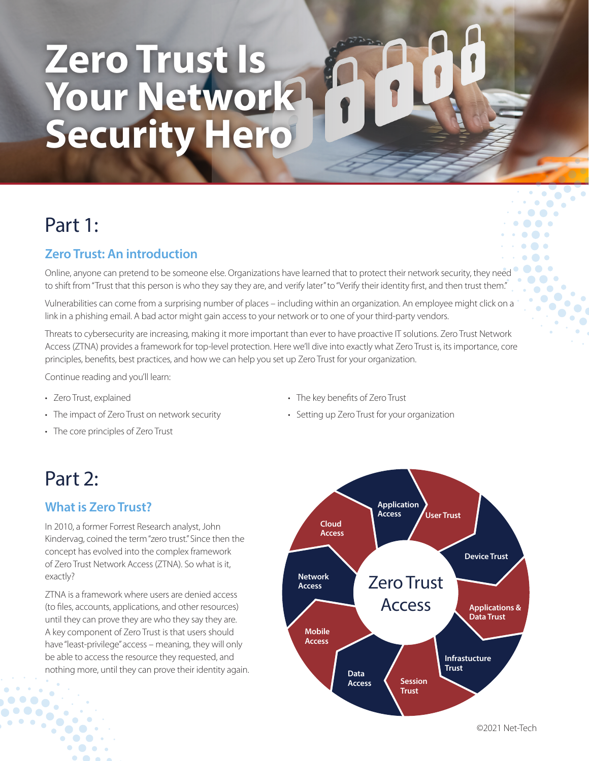# **Zero Trust Is Your Network Security Hero**

# Part 1:

# **Zero Trust: An introduction**

Online, anyone can pretend to be someone else. Organizations have learned that to protect their network security, they need to shift from "Trust that this person is who they say they are, and verify later" to "Verify their identity first, and then trust them."

Vulnerabilities can come from a surprising number of places – including within an organization. An employee might click on a link in a phishing email. A bad actor might gain access to your network or to one of your third-party vendors.

Threats to cybersecurity are increasing, making it more important than ever to have proactive IT solutions. Zero Trust Network Access (ZTNA) provides a framework for top-level protection. Here we'll dive into exactly what Zero Trust is, its importance, core principles, benefits, best practices, and how we can help you set up Zero Trust for your organization.

Continue reading and you'll learn:

- Zero Trust, explained
- The impact of Zero Trust on network security
- The core principles of Zero Trust
- The key benefits of Zero Trust
- Setting up Zero Trust for your organization

# Part 2:

### **What is Zero Trust?**

In 2010, a former Forrest Research analyst, John Kindervag, coined the term "zero trust." Since then the concept has evolved into the complex framework of Zero Trust Network Access (ZTNA). So what is it, exactly?

ZTNA is a framework where users are denied access (to files, accounts, applications, and other resources) until they can prove they are who they say they are. A key component of Zero Trust is that users should have "least-privilege" access – meaning, they will only be able to access the resource they requested, and nothing more, until they can prove their identity again.

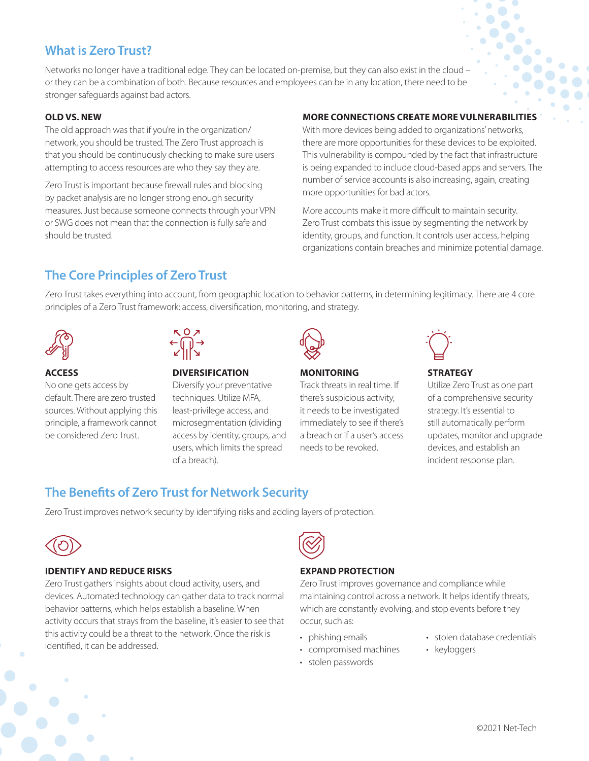# **What is Zero Trust?**

Networks no longer have a traditional edge. They can be located on-premise, but they can also exist in the cloud – or they can be a combination of both. Because resources and employees can be in any location, there need to be stronger safeguards against bad actors.

#### **OLD VS. NEW**

The old approach was that if you're in the organization/ network, you should be trusted. The Zero Trust approach is that you should be continuously checking to make sure users attempting to access resources are who they say they are.

Zero Trust is important because firewall rules and blocking by packet analysis are no longer strong enough security measures. Just because someone connects through your VPN or SWG does not mean that the connection is fully safe and should be trusted.

#### **MORE CONNECTIONS CREATE MORE VULNERABILITIES**

With more devices being added to organizations' networks, there are more opportunities for these devices to be exploited. This vulnerability is compounded by the fact that infrastructure is being expanded to include cloud-based apps and servers. The number of service accounts is also increasing, again, creating more opportunities for bad actors.

More accounts make it more difficult to maintain security. Zero Trust combats this issue by segmenting the network by identity, groups, and function. It controls user access, helping organizations contain breaches and minimize potential damage.

## **The Core Principles of Zero Trust**

Zero Trust takes everything into account, from geographic location to behavior patterns, in determining legitimacy. There are 4 core principles of a Zero Trust framework: access, diversification, monitoring, and strategy.



#### **ACCESS**

No one gets access by default. There are zero trusted sources. Without applying this principle, a framework cannot be considered Zero Trust.



#### **DIVERSIFICATION**

Diversify your preventative techniques. Utilize MFA, least-privilege access, and microsegmentation (dividing access by identity, groups, and users, which limits the spread of a breach).



#### **MONITORING**

Track threats in real time. If there's suspicious activity, it needs to be investigated immediately to see if there's a breach or if a user's access needs to be revoked.



#### **STRATEGY**

Utilize Zero Trust as one part of a comprehensive security strategy. It's essential to still automatically perform updates, monitor and upgrade devices, and establish an incident response plan.

# **The Benefits of Zero Trust for Network Security**

Zero Trust improves network security by identifying risks and adding layers of protection.



#### **IDENTIFY AND REDUCE RISKS**

Zero Trust gathers insights about cloud activity, users, and devices. Automated technology can gather data to track normal behavior patterns, which helps establish a baseline. When activity occurs that strays from the baseline, it's easier to see that this activity could be a threat to the network. Once the risk is identified, it can be addressed.



#### **EXPAND PROTECTION**

Zero Trust improves governance and compliance while maintaining control across a network. It helps identify threats, which are constantly evolving, and stop events before they occur, such as:

- phishing emails
- compromised machines
- stolen passwords
- stolen database credentials
- keyloggers